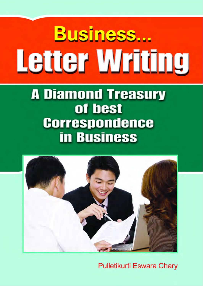# **Business... Letter Writing**

# **A Diamond Treasury** of best **Correspondence in Business**



**Pulletikurti Eswara Chary**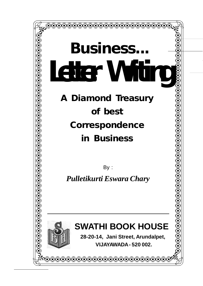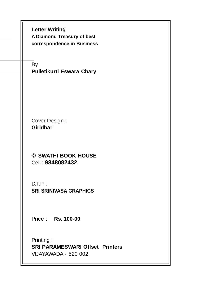**Letter Writing A Diamond Treasury of best correspondence in Business**

By **Pulletikurti Eswara Chary**

Cover Design : **Giridhar**

**© SWATHI BOOK HOUSE** Cell : **9848082432**

 $D.T.P.$ **SRI SRINIVASA GRAPHICS**

Price : **Rs. 100-00**

Printing : **SRI PARAMESWARI Offset Printers** VIJAYAWADA - 520 002.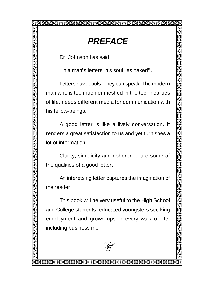*PREFACE*

Dr. Johnson has said,

"In a man's letters, his soul lies naked".

Letters have souls. They can speak. The modern man who is too much enmeshed in the technicalities of life, needs different media for communication with his fellow-beings.

A good letter is like a lively conversation. It renders a great satisfaction to us and yet furnishes a lot of information.

Clarity, simplicity and coherence are some of the qualities of a good letter.

An interetsing letter captures the imagination of the reader.

This book will be very useful to the High School and College students, educated youngsters see king employment and grown-ups in every walk of life, including business men.

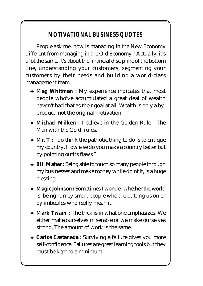# *MOTIVATIONAL BUSINESS QUOTES*

People ask me, how is managing in the New Economy different from managing in the Old Economy ? Actually, it's a lot the same. It's about the financial discipline of the bottom line, understanding your customers, segmenting your customers by their needs and building a world-class management team.

- **Meg Whitman :** My experience indicates that most people who've accumulated a great deal of wealth haven't had that as their goal at all. Wealth is only a byproduct, not the original motivation.
- **Michael Milken :** I believe in the Golden Rule The Man with the Gold. rules.
- **Mr. T :** I do think the patriotic thing to do is to critique my country. How else do you make a country better but by pointing outits flaws ?
- ◆ Bill Maher: Being able to touch so many people through my businesses and make money while doint it, is a huge blessing.
- ◆ Magic Johnson : Sometimes I wonder whether the world is being run by smart people who are putting us on or by imbeciles who really mean it.
- **Mark Twain :** The trick is in what one emphasizes. We either make ourselves miserable or we make ourselves strong. The amount of work is the same.
- **Carlos Castaneda :** Surviving a failure gives you more self-confidence. Failures are great learning tools but they must be kept to a minimum.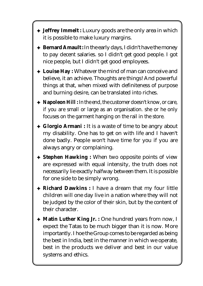- **Jeffrey Immelt :** Luxury goods are the only area in which it is possible to make luxury margins.
- **BernardAmault :**In the early days, I didn't have the money to pay decent salaries. so I didn't get good people. I got nice people, but I didn't get good employees.
- **► Louise Hay** : Whatever the mind of man can conceive and believe, it an achieve. Thoughts are things! And powerful things at that, when mixed with definiteness of purpose and burning desire, can be translated into riches.
- **Napoleon Hill :** In the end, the customer doesn't know, or care, if you are small or large as an organisation. she or he only focuses on the garment hanging on the rail in the store.
- **Glorgio Armani :** It is a waste of time to be angry about my disability. One has to get on with life and I haven't done badly. People won't have time for you if you are always angry or complaining.
- **Stephen Hawking :** When two opposite points of view are expressed with equal intensity, the truth does not necessarily lie exactly halfway between them. It is possible for one side to be simply wrong.
- **Richard Dawkins :** I have a dream that my four little children will one day live in a nation where they will not be judged by the color of their skin, but by the content of their character.
- **Matin Luther King Jr. :** One hundred years from now, I expect the Tatas to be much bigger than it is now. More importantly. I hoe the Group comes to be regarded as being the best in India, best in the manner in which we operate, best in the products we deliver and best in our value systems and ethics.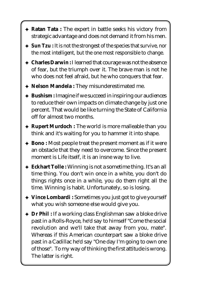- **Ratan Tata :** The expert in battle seeks his victory from strategic advantage and does not demand it from his men.
- ◆ **Sun Tzu** : It is not the strongest of the species that survive, nor the most intelligent, but the one most responsible to change.
- **← Charles Darwin** : I learned that courage was not the absence of fear, but the triumph over it. The brave man is not he who does not feel afraid, but he who conquers that fear.
- **Nelson Mandela :** They misunderestimated me.
- **Bushism :** Imagine if we succeed in inspiring our audiences to reduce their own impacts on climate change by just one percent. That would be like turning the State of California off for almost two months.
- **Rupert Murdoch :** The world is more malleable than you think and it's waiting for you to hammer it into shape.
- ◆ **Bono** : Most people treat the present moment as if it were an obstacle that they need to overcome. Since the present moment is Life itself, it is an insne way to live.
- **Eckhart Tolle :** Winning is not a sometime thing. It's an all time thing. You don't win once in a white, you don't do things rights once in a while, you do them right all the time. Winning is habit. Unfortunately, so is losing.
- **Vince Lombardi :** Sometimes you just got to give yourself what you wish someone else would give you.
- **Dr Phil :** If a working class Englishman saw a bloke drive past in a Rolls-Royce, he'd say to himself "Come the social revolution and we'll take that away from you, mate". Whereas if this American counterpart saw a bloke drive past in a Cadillac he'd say "One day I'm going to own one of those". To my way of thinking the first attitude is wrong. The latter is right.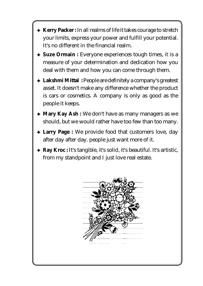- **Kerry Packer:** In allrealms of life it takes courage to stretch your limits, express your power and fulfill your potential. It's no different in the financial realm.
- **Suze Ormain :** Everyone experiences tough times, it is a measure of your determination and dedication how you deal with them and how you can come through them.
- **Lakshmi Mittal :** People aredefinitely a company's greatest asset. It doesn't make any difference whether the product is cars or cosmetics. A company is only as good as the people it keeps.
- **Mary Kay Ash :** We don't have as many managers as we should, but we would rather have too few than too many.
- **Larry Page :** We provide food that customers love, day after day after day. people just want more of it.
- **Ray Kroc :** It's tangible, it's solid, it's beautiful. It's artistic, from my standpoint and I just love real estate.

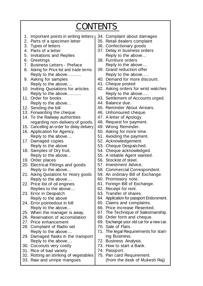| <b>CONTENTS</b> |                                              |  |                                          |
|-----------------|----------------------------------------------|--|------------------------------------------|
|                 | 1. Important points in writing letters point |  | 34. Complaint about damages              |
|                 | 2. Parts of a specimen letter                |  | 35. Retail dealers complaint             |
|                 | 3. Types of letters                          |  | 36. Confectionary goods                  |
|                 | 4. Parts of a letter                         |  | 37. Delay in business orders             |
|                 | 5. Invitations and Replies                   |  | Reply to the above                       |
|                 | 6. Greetings                                 |  | 38. Furniture orders                     |
|                 | 7. Business Letters - Preface                |  | Reply to the above                       |
|                 | 8. Asking for Price list and trade terms     |  | 39. Grand reduction offer                |
|                 | Reply to the above                           |  | Reply to the above                       |
|                 | 9. Asking for samples                        |  | 40. Demand for more discount.            |
|                 | Reply to the above                           |  | 41. Cheque posted                        |
|                 | 10. Inviting Quotations for articles         |  | 42. Asking orders for wrist watches      |
|                 | Reply to the above                           |  | Reply to the above                       |
|                 | 11. Order for books                          |  | 43. Settlement of Accounts urged.        |
|                 | Reply to the above                           |  | 44. Balance due.                         |
|                 | 12. Sending the bill                         |  | 45. Reminder About Arrears.              |
|                 | 13. Forwarding the cheque                    |  | 46. Unhonoured cheque.                   |
|                 | 14. To the Railway authorities               |  | 47. A letter of Apology.                 |
|                 | regarding non-delivery of goods.             |  | 48. Request for payment.                 |
|                 | 15. Cancelling an order for delay delivery   |  | 49. Wrong Reminder.                      |
|                 | 16. Application for Agency.                  |  | 50. Asking for more time.                |
|                 | Reply to the above                           |  | 51. Avoiding the payment.                |
|                 | 17. Damaged copies                           |  | 52. Acknowledgement.                     |
|                 | Reply to the above                           |  | 53. Cheque Despatched.                   |
|                 | 18. Samples of Dry fruit.                    |  | 54. Cheque acknowledged.                 |
|                 | Reply to the above                           |  | 55. A reliable Agent wanted.             |
|                 | 19. Order places                             |  | 56. Stockist of steel.                   |
|                 | 20. Electrical Fittings and goods            |  | 57. Investment Advice.                   |
|                 | Reply to the above                           |  | 58. Commercial Correspondent.            |
|                 | 21. Asking Quotations for Hosiry goods       |  | 59. An ordinary Bill of Exchange.        |
|                 | Reply to the above                           |  | 60. Promissory note.                     |
|                 | 22. Price list of oil engines.               |  | 61. Foreign Bill of Exchange.            |
|                 | Replies to the above                         |  | 62. Receipt for rent.                    |
|                 | 23. Error in Despatch                        |  | 63. Transfer of shares.                  |
|                 | Reply to the above                           |  | 64. Application for passport Endorsment. |
|                 | 24. Error pointedout in bill                 |  | 65. Claims and complaints.               |
|                 | Reply to the above                           |  | 66. Price increase Resented.             |
|                 | 25. When the manager is away.                |  | 67. The Technique of Salesmanship.       |
|                 | 26. Reservation of accomidation              |  | 68. Order form and cheque.               |
|                 | 27. Price enhancement                        |  | 69. Exchange your old car for a new car. |
|                 | 28. Complaint of Radio set                   |  | 70. Sale of Flats.                       |
|                 | Reply to the above                           |  | 71. The legal Requirements for start-    |
|                 | 29. Damaged flasks in the transport          |  | ing Business.                            |
|                 | Reply to the above                           |  | 72. Business Analysis.                   |
|                 | 30. Coconuts very costly                     |  | 73. How to start a Bank.                 |
|                 | 31. Rice of bad variety                      |  | 74. Passport.                            |
|                 | 32. Rotting an stinking of vegetables        |  | 75. Pan card Requirement.                |
|                 | 33. Raw and unripe mangoes                   |  | (from the desk of Mukesh Raj)            |
|                 |                                              |  |                                          |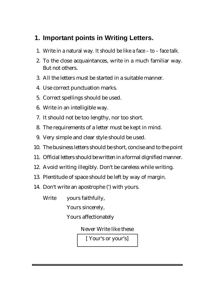# **1. Important points in Writing Letters.**

- 1. Write in a natural way. It should be like a face to face talk.
- 2. To the close acquaintances, write in a much familiar way. But not others.
- 3. All the letters must be started in a suitable manner.
- 4. Use correct punctuation marks.
- 5. Correct spellings should be used.
- 6. Write in an intelligible way.
- 7. It should not be too lengthy, nor too short.
- 8. The requirements of a letter must be kept in mind.
- 9. Very simple and clear style should be used.
- 10. The business letters should be short, concise and to the point
- 11. Official letters should be written in a formal dignified manner.
- 12. Avoid writing illegibly. Don't be careless while writing.
- 13. Plentitude of space should be left by way of margin.
- 14. Don't write an apostrophe (') with yours.
	- Write yours faithfully,

Yours sincerely,

Yours affectionately

Never Write like these

[ Your's or your's]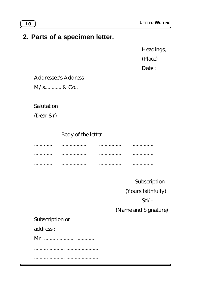### **2. Parts of a specimen letter.**

Headings,

(Place)

Date:

Addressee's Address :

M/s............ & Co.,

..............................

Salutation

(Dear Sir)

#### Body of the letter

............. ................... ................ ................ ............. ................... ................ ................ ............. ................... ................ ................

Subscription

(Yours faithfully)

Sd/-

(Name and Signature)

Subscription or

address :

Mr. .......... ........... ..............

.......... ........... .......................

.......... ........... .......................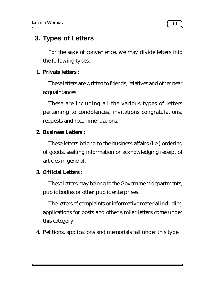# **3. Types of Letters**

For the sake of convenience, we may divide letters into the following types.

#### **1. Private letters :**

These letters are written to friends, relatives and other near acquaintances.

These are including all the various types of letters pertaining to condolences, invitations congratulations, requests and recommendations.

#### **2. Business Letters :**

These letters belong to the business affairs (i.e.) ordering of goods, seeking information or acknowledging receipt of articles in general.

#### **3. Official Letters :**

These letters may belong to the Government departments, public bodies or other public enterprises.

The letters of complaints or informative material including applications for posts and other similar letters come under this category.

4. Petitions, applications and memorials fall under this type.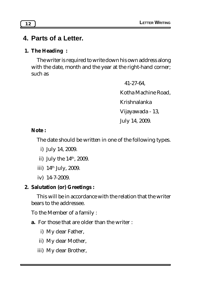# **4. Parts of a Letter.**

#### **1. The Heading :**

The writer is required to write down his own address along with the date, month and the year at the right-hand corner; such as

41-27-64,

Kotha Machine Road,

Krishnalanka

Vijayawada - 13,

July 14, 2009.

#### **Note :**

The date should be written in one of the following types.

- i) July 14, 2009.
- ii) July the  $14<sup>th</sup>$ , 2009.
- iii) 14<sup>th</sup> July, 2009.
- iv) 14-7-2009.

#### **2. Salutation (or) Greetings :**

This will be in accordance with the relation that the writer bears to the addressee.

To the Member of a family :

- **a.** For those that are older than the writer :
	- i) My dear Father,
	- ii) My dear Mother,
	- iii) My dear Brother,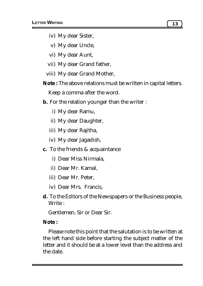- iv) My dear Sister,
- v) My dear Uncle,
- vi) My dear Aunt,
- vii) My dear Grand father,
- viii) My dear Grand Mother,
- **Note :** The above relations must be written in capital letters.

Keep a comma after the word.

- **b.** For the relation younger than the writer :
	- i) My dear Ramu,
	- ii) My dear Daughter,
	- iii) My dear Rajitha,
	- iv) My dear Jagadish,
- **c.** To the friends & acquaintance
	- i) Dear Miss Nirmala,
	- ii) Dear Mr. Kamal,
	- iii) Dear Mr. Peter,
	- iv) Dear Mrs. Francis,
- **d.** To the Editors of the Newspapers or the Business people, Write :

Gentlemen, Sir or Dear Sir.

#### **Note :**

Please note this point that the salutation is to be written at the left hand side before starting the subject matter of the letter and it should be at a lower level than the address and the date.